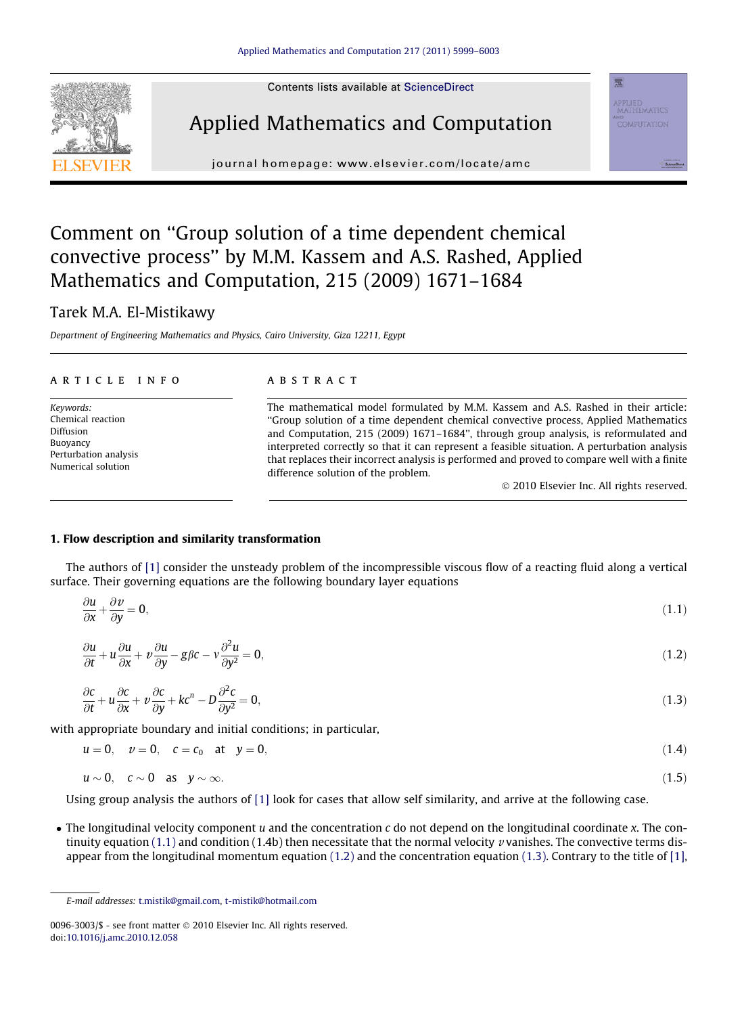Contents lists available at [ScienceDirect](http://www.sciencedirect.com/science/journal/00963003)





journal homepage: [www.elsevier.com/locate/amc](http://www.elsevier.com/locate/amc)

# Comment on ''Group solution of a time dependent chemical convective process'' by M.M. Kassem and A.S. Rashed, Applied Mathematics and Computation, 215 (2009) 1671–1684

## Tarek M.A. El-Mistikawy

Department of Engineering Mathematics and Physics, Cairo University, Giza 12211, Egypt

#### article info

Keywords: Chemical reaction Diffusion Buoyancy Perturbation analysis Numerical solution

### **ABSTRACT**

The mathematical model formulated by M.M. Kassem and A.S. Rashed in their article: ''Group solution of a time dependent chemical convective process, Applied Mathematics and Computation, 215 (2009) 1671–1684'', through group analysis, is reformulated and interpreted correctly so that it can represent a feasible situation. A perturbation analysis that replaces their incorrect analysis is performed and proved to compare well with a finite difference solution of the problem.

- 2010 Elsevier Inc. All rights reserved.

applied<br>mathematics

#### 1. Flow description and similarity transformation

The authors of [\[1\]](#page-4-0) consider the unsteady problem of the incompressible viscous flow of a reacting fluid along a vertical surface. Their governing equations are the following boundary layer equations

$$
\frac{\partial u}{\partial x} + \frac{\partial v}{\partial y} = 0,\tag{1.1}
$$

$$
\frac{\partial u}{\partial t} + u \frac{\partial u}{\partial x} + v \frac{\partial u}{\partial y} - g \beta c - v \frac{\partial^2 u}{\partial y^2} = 0, \tag{1.2}
$$

$$
\frac{\partial c}{\partial t} + u \frac{\partial c}{\partial x} + v \frac{\partial c}{\partial y} + kc^n - D \frac{\partial^2 c}{\partial y^2} = 0,
$$
\n(1.3)

with appropriate boundary and initial conditions; in particular,

$$
u = 0
$$
,  $v = 0$ ,  $c = c_0$  at  $y = 0$ ,  $(1.4)$ 

$$
u \sim 0, \quad c \sim 0 \quad \text{as} \quad y \sim \infty. \tag{1.5}
$$

Using group analysis the authors of [\[1\]](#page-4-0) look for cases that allow self similarity, and arrive at the following case.

 $\bullet$  The longitudinal velocity component u and the concentration c do not depend on the longitudinal coordinate x. The continuity equation (1.1) and condition (1.4b) then necessitate that the normal velocity v vanishes. The convective terms disappear from the longitudinal momentum equation (1.2) and the concentration equation (1.3). Contrary to the title of [\[1\]](#page-4-0),

E-mail addresses: [t.mistik@gmail.com](mailto:t.mistik@gmail.com), [t-mistik@hotmail.com](mailto:t-mistik@hotmail.com)

<sup>0096-3003/\$ -</sup> see front matter © 2010 Elsevier Inc. All rights reserved. doi:[10.1016/j.amc.2010.12.058](http://dx.doi.org/10.1016/j.amc.2010.12.058)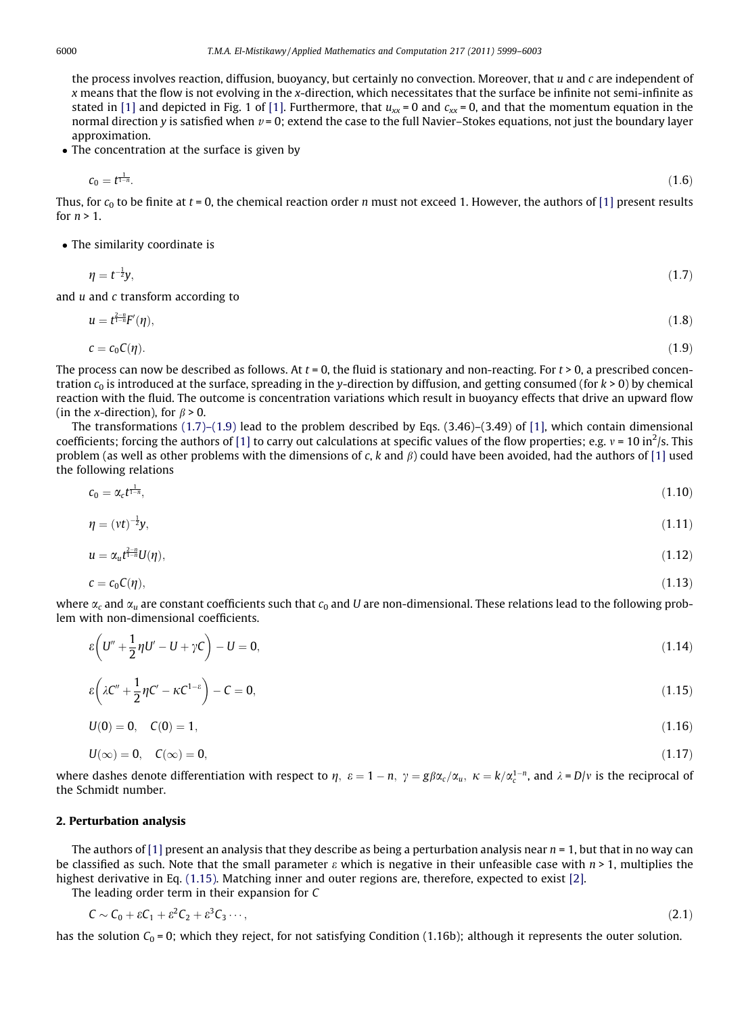<span id="page-1-0"></span>the process involves reaction, diffusion, buoyancy, but certainly no convection. Moreover, that  $u$  and  $c$  are independent of x means that the flow is not evolving in the x-direction, which necessitates that the surface be infinite not semi-infinite as stated in [\[1\]](#page-4-0) and depicted in Fig. 1 of [1]. Furthermore, that  $u_{xx} = 0$  and  $c_{xx} = 0$ , and that the momentum equation in the normal direction y is satisfied when  $v = 0$ ; extend the case to the full Navier–Stokes equations, not just the boundary layer approximation.

• The concentration at the surface is given by

$$
c_0 = t^{\frac{1}{1-n}}.\tag{1.6}
$$

Thus, for  $c_0$  to be finite at  $t = 0$ , the chemical reaction order n must not exceed 1. However, the authors of [\[1\]](#page-4-0) present results for  $n > 1$ .

The similarity coordinate is

$$
\eta = t^{-\frac{1}{2}}y,\tag{1.7}
$$

and u and c transform according to

$$
u = t^{\frac{2-n}{1-n}} F'(\eta), \tag{1.8}
$$

$$
c = c_0 C(\eta). \tag{1.9}
$$

The process can now be described as follows. At  $t = 0$ , the fluid is stationary and non-reacting. For  $t > 0$ , a prescribed concentration  $c_0$  is introduced at the surface, spreading in the y-direction by diffusion, and getting consumed (for  $k > 0$ ) by chemical reaction with the fluid. The outcome is concentration variations which result in buoyancy effects that drive an upward flow (in the x-direction), for  $\beta > 0$ .

The transformations  $(1.7)$ – $(1.9)$  lead to the problem described by Eqs.  $(3.46)$ – $(3.49)$  of [\[1\],](#page-4-0) which contain dimensional coefficients; forcing the authors of [\[1\]](#page-4-0) to carry out calculations at specific values of the flow properties; e.g.  $v = 10 \text{ in}^2/\text{s}$ . This problem (as well as other problems with the dimensions of c, k and  $\beta$ ) could have been avoided, had the authors of [\[1\]](#page-4-0) used the following relations

$$
c_0 = \alpha_c t^{\frac{1}{1-n}},\tag{1.10}
$$

$$
\eta = (vt)^{-\frac{1}{2}}y,\tag{1.11}
$$

$$
u = \alpha_u t^{\frac{2-n}{1-n}} U(\eta), \tag{1.12}
$$

$$
c = c_0 C(\eta), \tag{1.13}
$$

where  $\alpha_c$  and  $\alpha_u$  are constant coefficients such that  $c_0$  and U are non-dimensional. These relations lead to the following problem with non-dimensional coefficients.

$$
\varepsilon \left( U'' + \frac{1}{2} \eta U' - U + \gamma C \right) - U = 0, \tag{1.14}
$$

$$
\varepsilon \left( \lambda C'' + \frac{1}{2} \eta C' - \kappa C^{1-\varepsilon} \right) - C = 0, \tag{1.15}
$$

$$
U(0) = 0, \quad C(0) = 1,\tag{1.16}
$$

$$
U(\infty) = 0, \quad C(\infty) = 0,\tag{1.17}
$$

where dashes denote differentiation with respect to  $\eta$ ,  $\varepsilon = 1 - n$ ,  $\gamma = g\beta\alpha_c/\alpha_u$ ,  $\kappa = k/\alpha_c^{1-n}$ , and  $\lambda = D/v$  is the reciprocal of the Schmidt number.

#### 2. Perturbation analysis

The authors of [\[1\]](#page-4-0) present an analysis that they describe as being a perturbation analysis near  $n = 1$ , but that in no way can be classified as such. Note that the small parameter  $\varepsilon$  which is negative in their unfeasible case with  $n > 1$ , multiplies the highest derivative in Eq. (1.15). Matching inner and outer regions are, therefore, expected to exist [\[2\]](#page-4-0).

The leading order term in their expansion for C

$$
C \sim C_0 + \varepsilon C_1 + \varepsilon^2 C_2 + \varepsilon^3 C_3 \cdots,
$$
\n(2.1)

has the solution  $C_0 = 0$ ; which they reject, for not satisfying Condition (1.16b); although it represents the outer solution.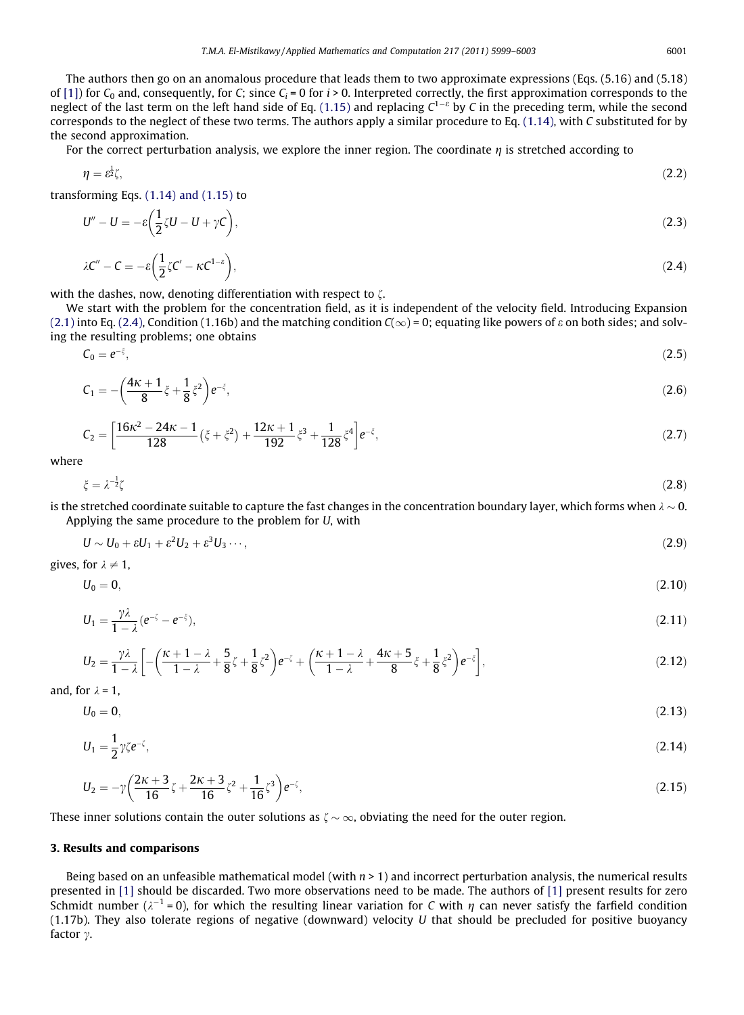<span id="page-2-0"></span>The authors then go on an anomalous procedure that leads them to two approximate expressions (Eqs. (5.16) and (5.18) of [\[1\]](#page-4-0)) for  $C_0$  and, consequently, for C; since  $C_i = 0$  for  $i > 0$ . Interpreted correctly, the first approximation corresponds to the neglect of the last term on the left hand side of Eq. [\(1.15\)](#page-1-0) and replacing  $C^{1-\epsilon}$  by C in the preceding term, while the second corresponds to the neglect of these two terms. The authors apply a similar procedure to Eq. [\(1.14\)](#page-1-0), with C substituted for by the second approximation.

For the correct perturbation analysis, we explore the inner region. The coordinate  $\eta$  is stretched according to

$$
\eta = \varepsilon^{\frac{1}{2}} \zeta,\tag{2.2}
$$

transforming Eqs.  $(1.14)$  and  $(1.15)$  to

$$
U'' - U = -\varepsilon \left(\frac{1}{2}\zeta U - U + \gamma C\right),\tag{2.3}
$$

$$
\lambda C'' - C = -\varepsilon \left( \frac{1}{2} \zeta C' - \kappa C^{1-\varepsilon} \right),\tag{2.4}
$$

with the dashes, now, denoting differentiation with respect to  $\zeta$ .

We start with the problem for the concentration field, as it is independent of the velocity field. Introducing Expansion [\(2.1\)](#page-1-0) into Eq. (2.4), Condition (1.16b) and the matching condition  $C(\infty) = 0$ ; equating like powers of  $\varepsilon$  on both sides; and solving the resulting problems; one obtains

$$
C_0 = e^{-\xi},\tag{2.5}
$$

$$
C_1 = -\left(\frac{4\kappa + 1}{8}\xi + \frac{1}{8}\xi^2\right)e^{-\xi},\tag{2.6}
$$

$$
C_2 = \left[\frac{16\kappa^2 - 24\kappa - 1}{128} \left(\xi + \xi^2\right) + \frac{12\kappa + 1}{192} \xi^3 + \frac{1}{128} \xi^4\right] e^{-\xi},\tag{2.7}
$$

where

$$
\zeta = \lambda^{-\frac{1}{2}} \zeta \tag{2.8}
$$

is the stretched coordinate suitable to capture the fast changes in the concentration boundary layer, which forms when  $\lambda \sim 0$ . Applying the same procedure to the problem for U, with

$$
U \sim U_0 + \varepsilon U_1 + \varepsilon^2 U_2 + \varepsilon^3 U_3 \cdots,
$$
\n(2.9)

gives, for  $\lambda \neq 1$ ,

$$
U_0=0,\t(2.10)
$$

$$
U_1 = \frac{\gamma \lambda}{1 - \lambda} (e^{-\zeta} - e^{-\zeta}), \tag{2.11}
$$

$$
U_2 = \frac{\gamma \lambda}{1 - \lambda} \left[ -\left( \frac{\kappa + 1 - \lambda}{1 - \lambda} + \frac{5}{8} \zeta + \frac{1}{8} \zeta^2 \right) e^{-\zeta} + \left( \frac{\kappa + 1 - \lambda}{1 - \lambda} + \frac{4\kappa + 5}{8} \zeta + \frac{1}{8} \zeta^2 \right) e^{-\zeta} \right],
$$
(2.12)

and, for  $\lambda = 1$ ,

$$
U_0 = 0,\tag{2.13}
$$

$$
U_1 = \frac{1}{2} \gamma \zeta e^{-\zeta},\tag{2.14}
$$

$$
U_2 = -\gamma \left(\frac{2\kappa + 3}{16}\zeta + \frac{2\kappa + 3}{16}\zeta^2 + \frac{1}{16}\zeta^3\right)e^{-\zeta},\tag{2.15}
$$

These inner solutions contain the outer solutions as  $\zeta \sim \infty$ , obviating the need for the outer region.

#### 3. Results and comparisons

Being based on an unfeasible mathematical model (with  $n > 1$ ) and incorrect perturbation analysis, the numerical results presented in [\[1\]](#page-4-0) should be discarded. Two more observations need to be made. The authors of [\[1\]](#page-4-0) present results for zero Schmidt number ( $\lambda^{-1}$  = 0), for which the resulting linear variation for C with  $\eta$  can never satisfy the farfield condition (1.17b). They also tolerate regions of negative (downward) velocity U that should be precluded for positive buoyancy factor  $\gamma$ .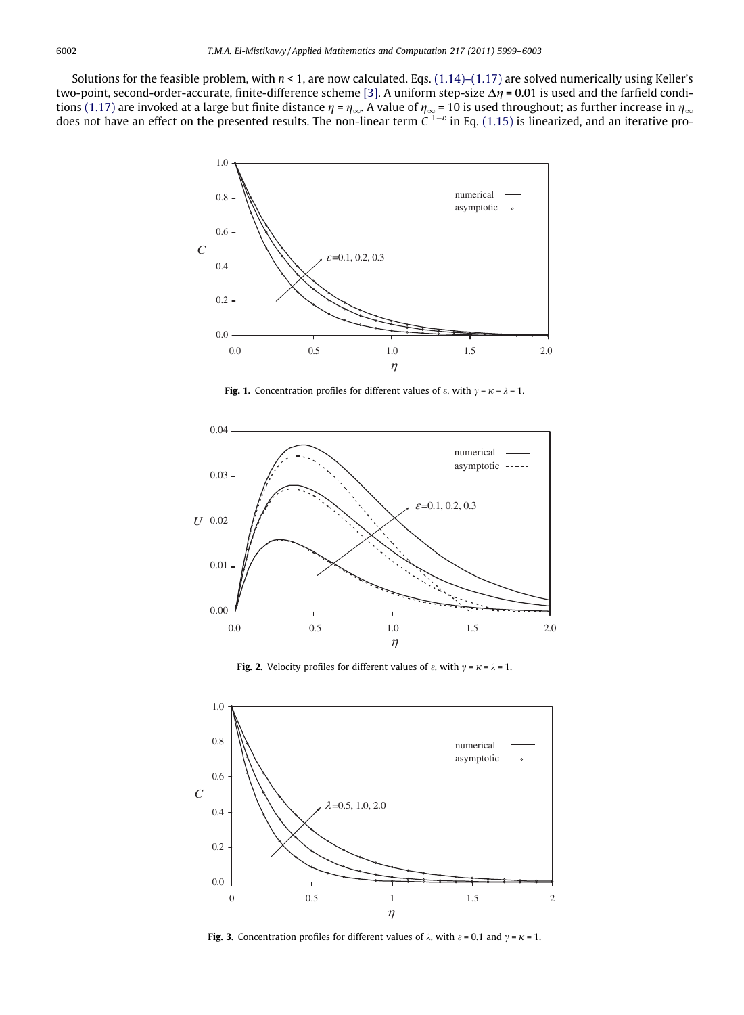<span id="page-3-0"></span>Solutions for the feasible problem, with  $n < 1$ , are now calculated. Eqs. [\(1.14\)–\(1.17\)](#page-1-0) are solved numerically using Keller's two-point, second-order-accurate, finite-difference scheme [\[3\].](#page-4-0) A uniform step-size  $\Delta \eta$  = 0.01 is used and the farfield condi-tions [\(1.17\)](#page-1-0) are invoked at a large but finite distance  $\eta$  =  $\eta_\infty$ . A value of  $\eta_\infty$  = 10 is used throughout; as further increase in  $\eta_\infty$ does not have an effect on the presented results. The non-linear term  $C^{1-\epsilon}$  in Eq. [\(1.15\)](#page-1-0) is linearized, and an iterative pro-



**Fig. 1.** Concentration profiles for different values of  $\varepsilon$ , with  $\gamma = \kappa = \lambda = 1$ .



**Fig. 2.** Velocity profiles for different values of  $\varepsilon$ , with  $\gamma = \kappa = \lambda = 1$ .



**Fig. 3.** Concentration profiles for different values of  $\lambda$ , with  $\varepsilon = 0.1$  and  $\gamma = \kappa = 1$ .